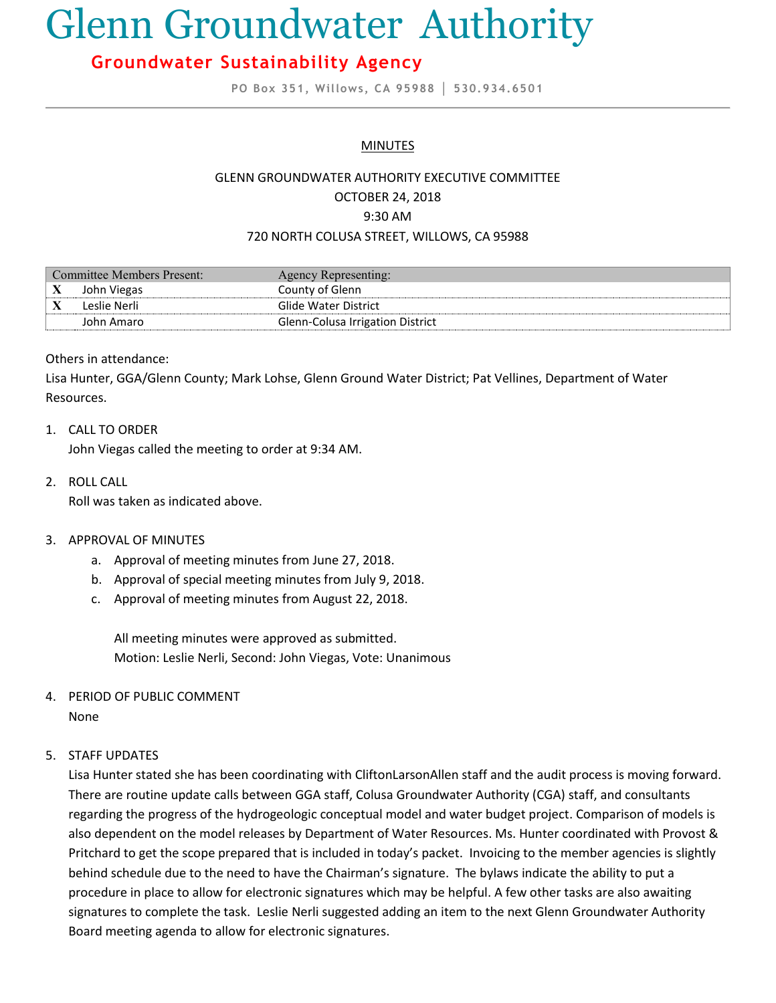# Glenn Groundwater Authority

# **Groundwater Sustainability Agency**

**PO Box 351, Willows, CA 95988 │ 530.934.6501**

# **MINUTES**

# GLENN GROUNDWATER AUTHORITY EXECUTIVE COMMITTEE

#### OCTOBER 24, 2018

9:30 AM

#### 720 NORTH COLUSA STREET, WILLOWS, CA 95988

| Committee Members Present: |              | Agency Representing:             |
|----------------------------|--------------|----------------------------------|
| X                          | John Viegas  | County of Glenn                  |
|                            | Leslie Nerli | Glide Water District             |
|                            | John Amaro   | Glenn-Colusa Irrigation District |

#### Others in attendance:

Lisa Hunter, GGA/Glenn County; Mark Lohse, Glenn Ground Water District; Pat Vellines, Department of Water Resources.

1. CALL TO ORDER

John Viegas called the meeting to order at 9:34 AM.

2. ROLL CALL Roll was taken as indicated above.

# 3. APPROVAL OF MINUTES

- a. Approval of meeting minutes from June 27, 2018.
- b. Approval of special meeting minutes from July 9, 2018.
- c. Approval of meeting minutes from August 22, 2018.

All meeting minutes were approved as submitted. Motion: Leslie Nerli, Second: John Viegas, Vote: Unanimous

# 4. PERIOD OF PUBLIC COMMENT

None

# 5. STAFF UPDATES

Lisa Hunter stated she has been coordinating with CliftonLarsonAllen staff and the audit process is moving forward. There are routine update calls between GGA staff, Colusa Groundwater Authority (CGA) staff, and consultants regarding the progress of the hydrogeologic conceptual model and water budget project. Comparison of models is also dependent on the model releases by Department of Water Resources. Ms. Hunter coordinated with Provost & Pritchard to get the scope prepared that is included in today's packet. Invoicing to the member agencies is slightly behind schedule due to the need to have the Chairman's signature. The bylaws indicate the ability to put a procedure in place to allow for electronic signatures which may be helpful. A few other tasks are also awaiting signatures to complete the task. Leslie Nerli suggested adding an item to the next Glenn Groundwater Authority Board meeting agenda to allow for electronic signatures.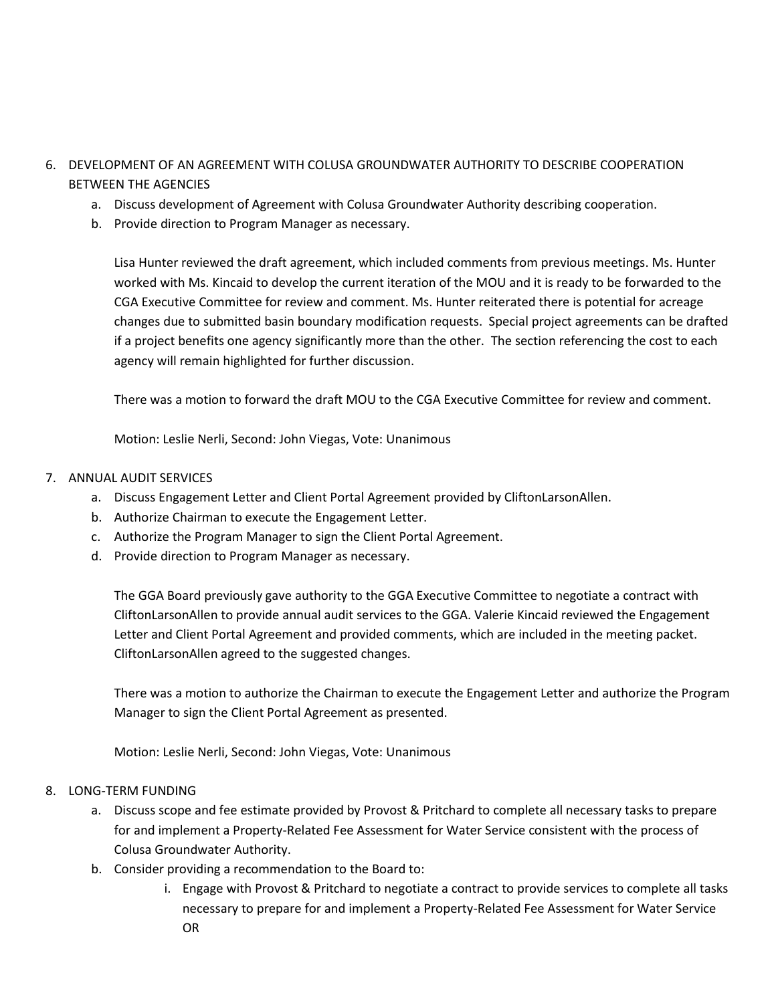- 6. DEVELOPMENT OF AN AGREEMENT WITH COLUSA GROUNDWATER AUTHORITY TO DESCRIBE COOPERATION BETWEEN THE AGENCIES
	- a. Discuss development of Agreement with Colusa Groundwater Authority describing cooperation.
	- b. Provide direction to Program Manager as necessary.

Lisa Hunter reviewed the draft agreement, which included comments from previous meetings. Ms. Hunter worked with Ms. Kincaid to develop the current iteration of the MOU and it is ready to be forwarded to the CGA Executive Committee for review and comment. Ms. Hunter reiterated there is potential for acreage changes due to submitted basin boundary modification requests. Special project agreements can be drafted if a project benefits one agency significantly more than the other. The section referencing the cost to each agency will remain highlighted for further discussion.

There was a motion to forward the draft MOU to the CGA Executive Committee for review and comment.

Motion: Leslie Nerli, Second: John Viegas, Vote: Unanimous

# 7. ANNUAL AUDIT SERVICES

- a. Discuss Engagement Letter and Client Portal Agreement provided by CliftonLarsonAllen.
- b. Authorize Chairman to execute the Engagement Letter.
- c. Authorize the Program Manager to sign the Client Portal Agreement.
- d. Provide direction to Program Manager as necessary.

The GGA Board previously gave authority to the GGA Executive Committee to negotiate a contract with CliftonLarsonAllen to provide annual audit services to the GGA. Valerie Kincaid reviewed the Engagement Letter and Client Portal Agreement and provided comments, which are included in the meeting packet. CliftonLarsonAllen agreed to the suggested changes.

There was a motion to authorize the Chairman to execute the Engagement Letter and authorize the Program Manager to sign the Client Portal Agreement as presented.

Motion: Leslie Nerli, Second: John Viegas, Vote: Unanimous

# 8. LONG-TERM FUNDING

- a. Discuss scope and fee estimate provided by Provost & Pritchard to complete all necessary tasks to prepare for and implement a Property-Related Fee Assessment for Water Service consistent with the process of Colusa Groundwater Authority.
- b. Consider providing a recommendation to the Board to:
	- i. Engage with Provost & Pritchard to negotiate a contract to provide services to complete all tasks necessary to prepare for and implement a Property-Related Fee Assessment for Water Service OR